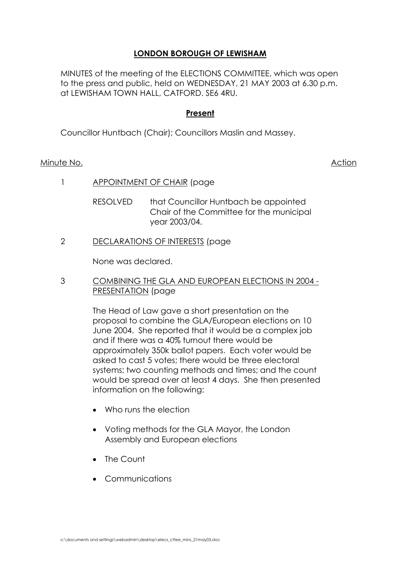# **LONDON BOROUGH OF LEWISHAM**

MINUTES of the meeting of the ELECTIONS COMMITTEE, which was open to the press and public, held on WEDNESDAY, 21 MAY 2003 at 6.30 p.m. at LEWISHAM TOWN HALL, CATFORD. SE6 4RU.

### **Present**

Councillor Huntbach (Chair); Councillors Maslin and Massey.

# Minute No. Action

1 APPOINTMENT OF CHAIR (page

RESOLVED that Councillor Huntbach be appointed Chair of the Committee for the municipal year 2003/04.

2 DECLARATIONS OF INTERESTS (page

None was declared.

3 COMBINING THE GLA AND EUROPEAN ELECTIONS IN 2004 - PRESENTATION (page

> The Head of Law gave a short presentation on the proposal to combine the GLA/European elections on 10 June 2004. She reported that it would be a complex job and if there was a 40% turnout there would be approximately 350k ballot papers. Each voter would be asked to cast 5 votes; there would be three electoral systems; two counting methods and times; and the count would be spread over at least 4 days. She then presented information on the following:

- Who runs the election
- Voting methods for the GLA Mayor, the London Assembly and European elections
- The Count
- Communications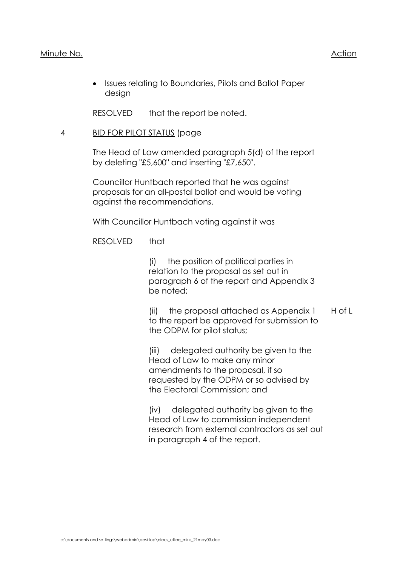### Minute No. Action

• Issues relating to Boundaries, Pilots and Ballot Paper design

RESOLVED that the report be noted.

4 BID FOR PILOT STATUS (page

The Head of Law amended paragraph 5(d) of the report by deleting "£5,600" and inserting "£7,650".

Councillor Huntbach reported that he was against proposals for an all-postal ballot and would be voting against the recommendations.

With Councillor Huntbach voting against it was

RESOLVED that

(i) the position of political parties in relation to the proposal as set out in paragraph 6 of the report and Appendix 3 be noted;

(ii) the proposal attached as Appendix 1 to the report be approved for submission to the ODPM for pilot status; H of L

(iii) delegated authority be given to the Head of Law to make any minor amendments to the proposal, if so requested by the ODPM or so advised by the Electoral Commission; and

(iv) delegated authority be given to the Head of Law to commission independent research from external contractors as set out in paragraph 4 of the report.